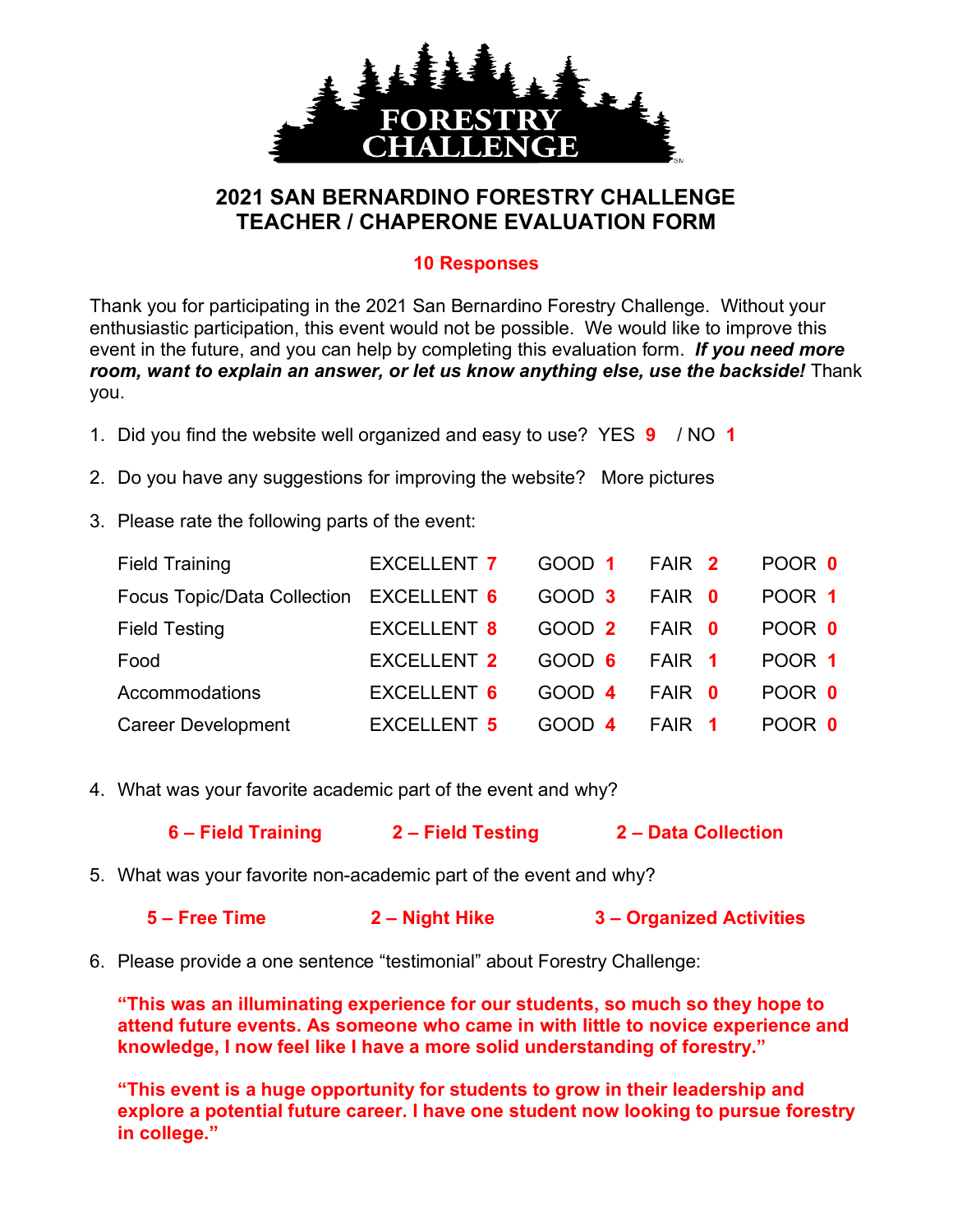

## **2021 SAN BERNARDINO FORESTRY CHALLENGE TEACHER / CHAPERONE EVALUATION FORM**

## **10 Responses**

Thank you for participating in the 2021 San Bernardino Forestry Challenge. Without your enthusiastic participation, this event would not be possible. We would like to improve this event in the future, and you can help by completing this evaluation form. *If you need more room, want to explain an answer, or let us know anything else, use the backside!* Thank you.

- 1. Did you find the website well organized and easy to use? YES **9** / NO **1**
- 2. Do you have any suggestions for improving the website? More pictures
- 3. Please rate the following parts of the event:

| <b>Field Training</b>                          | EXCELLENT 7        | GOOD 1 FAIR 2 |               | POOR 0 |
|------------------------------------------------|--------------------|---------------|---------------|--------|
| Focus Topic/Data Collection EXCELLENT 6 GOOD 3 |                    |               | <b>FAIR 0</b> | POOR 1 |
| <b>Field Testing</b>                           | EXCELLENT 8        | GOOD 2 FAIR 0 |               | POOR 0 |
| Food                                           | EXCELLENT 2        | GOOD 6 FAIR 1 |               | POOR 1 |
| Accommodations                                 | EXCELLENT 6        | GOOD 4        | <b>FAIR 0</b> | POOR 0 |
| <b>Career Development</b>                      | <b>EXCELLENT 5</b> | GOOD 4        | FAIR 1        | POOR 0 |

- 4. What was your favorite academic part of the event and why?
	- **6 – Field Training 2 – Field Testing 2 – Data Collection**
- 5. What was your favorite non-academic part of the event and why?

|  | 5 – Free Time | 2 – Night Hike | 3 - Organized Activities |
|--|---------------|----------------|--------------------------|
|--|---------------|----------------|--------------------------|

6. Please provide a one sentence "testimonial" about Forestry Challenge:

**"This was an illuminating experience for our students, so much so they hope to attend future events. As someone who came in with little to novice experience and knowledge, I now feel like I have a more solid understanding of forestry."**

**"This event is a huge opportunity for students to grow in their leadership and explore a potential future career. I have one student now looking to pursue forestry in college."**